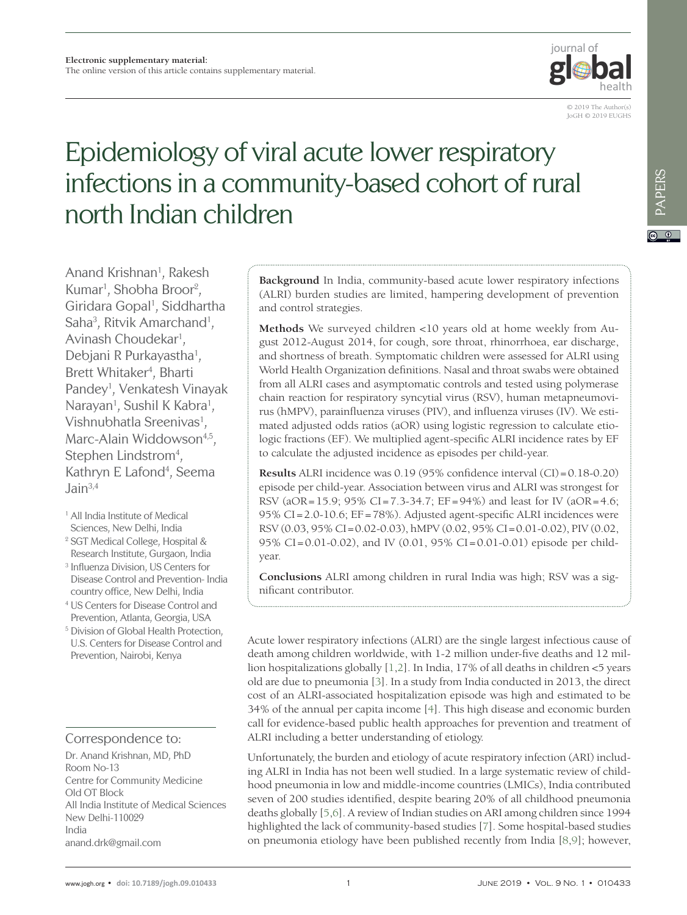

# Epidemiology of viral acute lower respiratory infections in a community-based cohort of rural north Indian children

Anand Krishnan<sup>1</sup>, Rakesh Kumar<sup>1</sup>, Shobha Broor<sup>2</sup>, Giridara Gopal<sup>1</sup>, Siddhartha Saha<sup>3</sup>, Ritvik Amarchand<sup>1</sup>, Avinash Choudekar<sup>1</sup>, Debjani R Purkayastha<sup>1</sup>, Brett Whitaker<sup>4</sup> , Bharti Pandey<sup>1</sup>, Venkatesh Vinayak Narayan<sup>1</sup>, Sushil K Kabra<sup>1</sup>, Vishnubhatla Sreenivas<sup>1</sup>, Marc-Alain Widdowson<sup>4,5</sup>, Stephen Lindstrom<sup>4</sup>,

Kathryn E Lafond<sup>4</sup>, Seema  $Jain<sup>3,4</sup>$ 

- 1 All India Institute of Medical Sciences, New Delhi, India
- 2 SGT Medical College, Hospital & Research Institute, Gurgaon, India
- 3 Influenza Division, US Centers for Disease Control and Prevention- India country office, New Delhi, India
- 4 US Centers for Disease Control and Prevention, Atlanta, Georgia, USA
- 5 Division of Global Health Protection, U.S. Centers for Disease Control and Prevention, Nairobi, Kenya

## Correspondence to:

Dr. Anand Krishnan, MD, PhD Room No-13 Centre for Community Medicine Old OT Block All India Institute of Medical Sciences New Delhi-110029 India anand.drk@gmail.com

**Background** In India, community-based acute lower respiratory infections (ALRI) burden studies are limited, hampering development of prevention and control strategies.

**Methods** We surveyed children <10 years old at home weekly from August 2012-August 2014, for cough, sore throat, rhinorrhoea, ear discharge, and shortness of breath. Symptomatic children were assessed for ALRI using World Health Organization definitions. Nasal and throat swabs were obtained from all ALRI cases and asymptomatic controls and tested using polymerase chain reaction for respiratory syncytial virus (RSV), human metapneumovirus (hMPV), parainfluenza viruses (PIV), and influenza viruses (IV). We estimated adjusted odds ratios (aOR) using logistic regression to calculate etiologic fractions (EF). We multiplied agent-specific ALRI incidence rates by EF to calculate the adjusted incidence as episodes per child-year.

**Results** ALRI incidence was 0.19 (95% confidence interval (CI) = 0.18-0.20) episode per child-year. Association between virus and ALRI was strongest for RSV (aOR = 15.9; 95% CI = 7.3-34.7; EF = 94%) and least for IV (aOR = 4.6; 95% CI = 2.0-10.6; EF = 78%). Adjusted agent-specific ALRI incidences were RSV (0.03, 95% CI = 0.02-0.03), hMPV (0.02, 95% CI = 0.01-0.02), PIV (0.02, 95% CI = 0.01-0.02), and IV (0.01, 95% CI = 0.01-0.01) episode per childyear.

**Conclusions** ALRI among children in rural India was high; RSV was a significant contributor.

Acute lower respiratory infections (ALRI) are the single largest infectious cause of death among children worldwide, with 1-2 million under-five deaths and 12 million hospitalizations globally [1,2]. In India, 17% of all deaths in children <5 years old are due to pneumonia [3]. In a study from India conducted in 2013, the direct cost of an ALRI-associated hospitalization episode was high and estimated to be 34% of the annual per capita income [4]. This high disease and economic burden call for evidence-based public health approaches for prevention and treatment of ALRI including a better understanding of etiology.

Unfortunately, the burden and etiology of acute respiratory infection (ARI) including ALRI in India has not been well studied. In a large systematic review of childhood pneumonia in low and middle-income countries (LMICs), India contributed seven of 200 studies identified, despite bearing 20% of all childhood pneumonia deaths globally [5,6]. A review of Indian studies on ARI among children since 1994 highlighted the lack of community-based studies [7]. Some hospital-based studies on pneumonia etiology have been published recently from India [8,9]; however,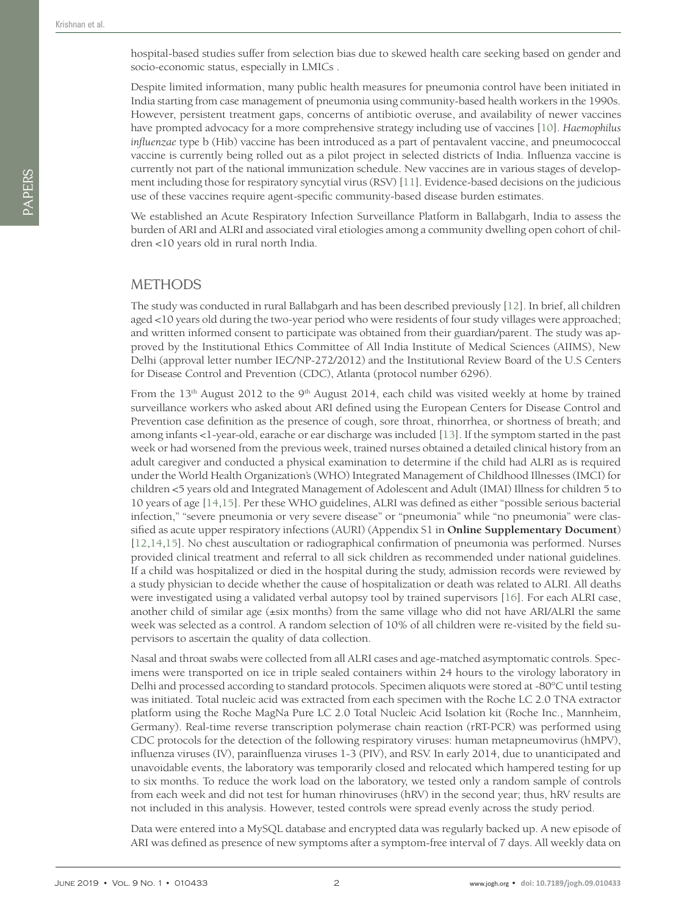hospital-based studies suffer from selection bias due to skewed health care seeking based on gender and socio-economic status, especially in LMICs .

Despite limited information, many public health measures for pneumonia control have been initiated in India starting from case management of pneumonia using community-based health workers in the 1990s. However, persistent treatment gaps, concerns of antibiotic overuse, and availability of newer vaccines have prompted advocacy for a more comprehensive strategy including use of vaccines [10]. *Haemophilus influenzae* type b (Hib) vaccine has been introduced as a part of pentavalent vaccine, and pneumococcal vaccine is currently being rolled out as a pilot project in selected districts of India. Influenza vaccine is currently not part of the national immunization schedule. New vaccines are in various stages of development including those for respiratory syncytial virus (RSV) [11]. Evidence-based decisions on the judicious use of these vaccines require agent-specific community-based disease burden estimates.

We established an Acute Respiratory Infection Surveillance Platform in Ballabgarh, India to assess the burden of ARI and ALRI and associated viral etiologies among a community dwelling open cohort of children <10 years old in rural north India.

# **METHODS**

The study was conducted in rural Ballabgarh and has been described previously [12]. In brief, all children aged <10 years old during the two-year period who were residents of four study villages were approached; and written informed consent to participate was obtained from their guardian/parent. The study was approved by the Institutional Ethics Committee of All India Institute of Medical Sciences (AIIMS), New Delhi (approval letter number IEC/NP-272/2012) and the Institutional Review Board of the U.S Centers for Disease Control and Prevention (CDC), Atlanta (protocol number 6296).

From the 13<sup>th</sup> August 2012 to the 9<sup>th</sup> August 2014, each child was visited weekly at home by trained surveillance workers who asked about ARI defined using the European Centers for Disease Control and Prevention case definition as the presence of cough, sore throat, rhinorrhea, or shortness of breath; and among infants <1-year-old, earache or ear discharge was included [13]. If the symptom started in the past week or had worsened from the previous week, trained nurses obtained a detailed clinical history from an adult caregiver and conducted a physical examination to determine if the child had ALRI as is required under the World Health Organization's (WHO) Integrated Management of Childhood Illnesses (IMCI) for children <5 years old and Integrated Management of Adolescent and Adult (IMAI) Illness for children 5 to 10 years of age [14,15]. Per these WHO guidelines, ALRI was defined as either "possible serious bacterial infection," "severe pneumonia or very severe disease" or "pneumonia" while "no pneumonia" were classified as acute upper respiratory infections (AURI) (Appendix S1 in **Online Supplementary Document**) [12,14,15]. No chest auscultation or radiographical confirmation of pneumonia was performed. Nurses provided clinical treatment and referral to all sick children as recommended under national guidelines. If a child was hospitalized or died in the hospital during the study, admission records were reviewed by a study physician to decide whether the cause of hospitalization or death was related to ALRI. All deaths were investigated using a validated verbal autopsy tool by trained supervisors [16]. For each ALRI case, another child of similar age  $(\pm \text{six months})$  from the same village who did not have ARI/ALRI the same week was selected as a control. A random selection of 10% of all children were re-visited by the field supervisors to ascertain the quality of data collection.

Nasal and throat swabs were collected from all ALRI cases and age-matched asymptomatic controls. Specimens were transported on ice in triple sealed containers within 24 hours to the virology laboratory in Delhi and processed according to standard protocols. Specimen aliquots were stored at -80°C until testing was initiated. Total nucleic acid was extracted from each specimen with the Roche LC 2.0 TNA extractor platform using the Roche MagNa Pure LC 2.0 Total Nucleic Acid Isolation kit (Roche Inc., Mannheim, Germany). Real-time reverse transcription polymerase chain reaction (rRT-PCR) was performed using CDC protocols for the detection of the following respiratory viruses: human metapneumovirus (hMPV), influenza viruses (IV), parainfluenza viruses 1-3 (PIV), and RSV. In early 2014, due to unanticipated and unavoidable events, the laboratory was temporarily closed and relocated which hampered testing for up to six months. To reduce the work load on the laboratory, we tested only a random sample of controls from each week and did not test for human rhinoviruses (hRV) in the second year; thus, hRV results are not included in this analysis. However, tested controls were spread evenly across the study period.

Data were entered into a MySQL database and encrypted data was regularly backed up. A new episode of ARI was defined as presence of new symptoms after a symptom-free interval of 7 days. All weekly data on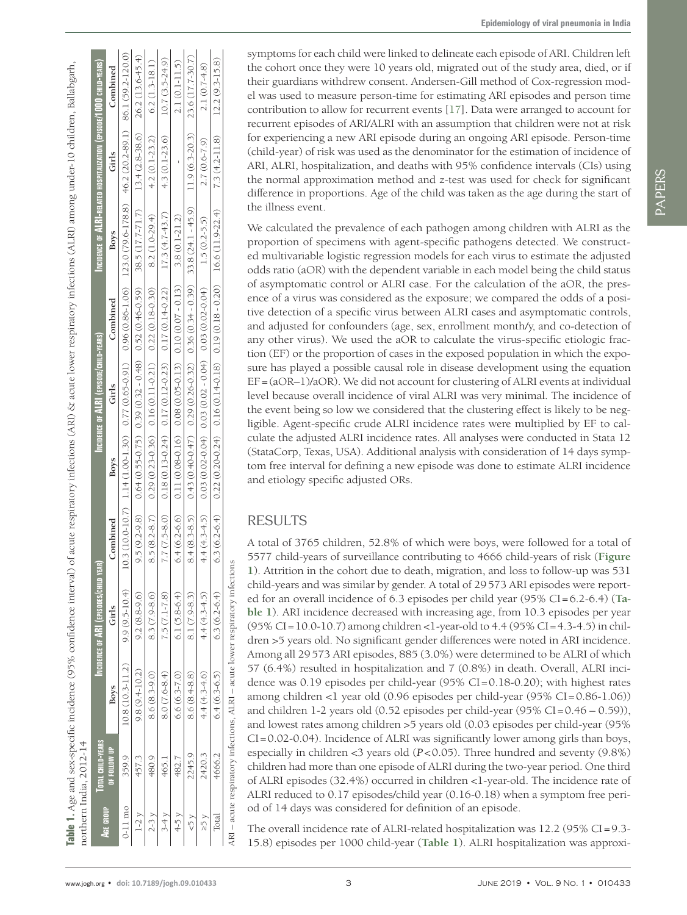|            | <b>DTAL CHILD-YEARS</b><br>northern India, 2012-14 |                   | INCIDENCE OF AIRI (EPISODES/CHILD YEAR) |          |             | INCIDENCE OF ALRII (EPISODE/CHILD-YEARS) |                                                                                         | INCIDENCE OF ALRI-RELATED HOSPITALIZATION (EPISODE/1000 CHILD-YEARS)                                                                                                                                                                                                                            |                                  |                                 |
|------------|----------------------------------------------------|-------------------|-----------------------------------------|----------|-------------|------------------------------------------|-----------------------------------------------------------------------------------------|-------------------------------------------------------------------------------------------------------------------------------------------------------------------------------------------------------------------------------------------------------------------------------------------------|----------------------------------|---------------------------------|
| AGE GROUP  | <b>OF FOLLOW UP</b>                                | <b>Boys</b>       | Girls                                   | Combined | <b>Boys</b> | Girls                                    | Combined                                                                                | <b>Boys</b>                                                                                                                                                                                                                                                                                     | Girls                            | Combined                        |
| $0-11$ mo  | 359.9                                              | $10.8(10.3-11.2)$ | $9.9(9.5-10.4)$                         |          |             |                                          |                                                                                         | $10.3(10.0-10.7)$ $1.14(1.00-1.30)$ $0.77(0.65-0.91)$ $0.96(0.86-1.06)$ $123.0(79.178.8)$ $46.2(20.2-89.1)$ $86.1(59.2-120.0)$                                                                                                                                                                  |                                  |                                 |
| $1-2$ $V$  | 457.3                                              | $9.8(9.4-10.2)$   | $9.2(8.8-9.6)$                          |          |             |                                          |                                                                                         | $(9.5 \times 9.29.8)$ $(0.64 \times 0.75)$ $(0.75)$ $(0.39 \times 0.75)$ $(0.49)$ $(0.59 \times 0.59)$ $(0.59 \times 0.59)$ $(0.59 \times 0.59)$ $(0.59 \times 0.59)$ $(0.59 \times 0.59)$ $(0.59 \times 0.59)$ $(0.59 \times 0.59)$ $(0.59 \times 0.59)$ $(0.59 \times 0.59)$ $(0.59 \times 0$ |                                  |                                 |
| $2-3v$     | 480.9                                              | 8.6 (8.3-9.0)     | 8.3 (7.9-8.6)                           |          |             |                                          | $8.5(8.2-8.7)$ 0.29 (0.123-0.36) 0.10 (0.11-0.21) 0.22 (0.18-0.30) 8.2 (1.0-29.4)       |                                                                                                                                                                                                                                                                                                 | $4.2(0.1-23.2)$ $6.2(1.3-18.1)$  |                                 |
| $3-4V$     | 465.1                                              | $8.0(7.6-8.4)$    | $7.5(7.1-7.8)$                          |          |             |                                          | 7.7 (7.5-8.0) 0.18 (0.13-0.24) 0.17 (0.12-0.23) 0.14-0.22) 17.3 (4.7-43.7)              |                                                                                                                                                                                                                                                                                                 |                                  | $4.3(0.1-23.6)$ 10.7 (3.5-24.9) |
| $4-5v$     | 482.7                                              | $6.6(6.3 - 7.0)$  | $6.1(5.8-6.4)$                          |          |             |                                          | $6.4(6.2-6.6)$ $0.10(0.08-0.16)$ $0.08(0.05-0.13)$ $0.13(0.7 - 0.13)$ $3.8(0.1 - 21.2)$ |                                                                                                                                                                                                                                                                                                 |                                  | $2.1(0.1 - 11.5)$               |
| v ç        | 2245.9                                             | 8.6 (8.4-8.8)     | $8.1(7.9-8.3)$                          |          |             |                                          |                                                                                         | $8.4$ (8.3-8.5) $0.4$ -90-0.47) $0.26$ (0.26-0.32) $0.39$ (0.34 - 0.39) 33.8 (24.1 - 45.9) 11.9 (0.3-20.3) 23.6 (17.7-30.7)                                                                                                                                                                     |                                  |                                 |
| $\geq 5$ v | 2420.3                                             | $4.4(4.3 - 4.6)$  | $4.4(4.3 - 4.5)$                        |          |             |                                          |                                                                                         |                                                                                                                                                                                                                                                                                                 | $2.7(0.6-7.9)$                   | $2.1(0.7-4.8)$                  |
| Total      | 4666.2                                             | $6.4(6.3 - 6.5)$  | $6.3(6.2 - 6.4)$                        |          |             |                                          |                                                                                         | 6.3 (6.2-6.4) 0.22 (0.20-0.24) 0.16 (0.14-0.18) 0.19 (0.18 - 0.20) 16.6 (11.9-22.4)                                                                                                                                                                                                             | $7.3(4.2-11.8)$ $12.2(9.3-15.8)$ |                                 |

symptoms for each child were linked to delineate each episode of ARI. Children left the cohort once they were 10 years old, migrated out of the study area, died, or if their guardians withdrew consent. Andersen-Gill method of Cox-regression model was used to measure person-time for estimating ARI episodes and person time contribution to allow for recurrent events [17]. Data were arranged to account for recurrent episodes of ARI/ALRI with an assumption that children were not at risk for experiencing a new ARI episode during an ongoing ARI episode. Person-time (child-year) of risk was used as the denominator for the estimation of incidence of ARI, ALRI, hospitalization, and deaths with 95% confidence intervals (CIs) using the normal approximation method and z-test was used for check for significant difference in proportions. Age of the child was taken as the age during the start of the illness event.

We calculated the prevalence of each pathogen among children with ALRI as the proportion of specimens with agent-specific pathogens detected. We constructed multivariable logistic regression models for each virus to estimate the adjusted odds ratio (aOR) with the dependent variable in each model being the child status of asymptomatic control or ALRI case. For the calculation of the aOR, the presence of a virus was considered as the exposure; we compared the odds of a positive detection of a specific virus between ALRI cases and asymptomatic controls, and adjusted for confounders (age, sex, enrollment month/y, and co-detection of any other virus). We used the aOR to calculate the virus-specific etiologic fraction (EF) or the proportion of cases in the exposed population in which the exposure has played a possible causal role in disease development using the equation EF = (aOR–1)/aOR). We did not account for clustering of ALRI events at individual level because overall incidence of viral ALRI was very minimal. The incidence of the event being so low we considered that the clustering effect is likely to be negligible. Agent-specific crude ALRI incidence rates were multiplied by EF to calculate the adjusted ALRI incidence rates. All analyses were conducted in Stata 12 (StataCorp, Texas, USA). Additional analysis with consideration of 14 days symptom free interval for defining a new episode was done to estimate ALRI incidence and etiology specific adjusted ORs.

# RESULTS

- acute respiratory infections, ALRI - acute lower respiratory infections ARI – acute respiratory infections, ALRI – acute lower respiratory infections

ARI.

A total of 3765 children, 52.8% of which were boys, were followed for a total of 5577 child-years of surveillance contributing to 4666 child-years of risk (**Figure 1**). Attrition in the cohort due to death, migration, and loss to follow-up was 531 child-years and was similar by gender. A total of 29 573 ARI episodes were reported for an overall incidence of 6.3 episodes per child year (95% CI = 6.2-6.4) (**Table 1**). ARI incidence decreased with increasing age, from 10.3 episodes per year  $(95\% CI = 10.0-10.7)$  among children < 1-year-old to 4.4  $(95\% CI = 4.3-4.5)$  in children >5 years old. No significant gender differences were noted in ARI incidence. Among all 29 573 ARI episodes, 885 (3.0%) were determined to be ALRI of which 57 (6.4%) resulted in hospitalization and 7 (0.8%) in death. Overall, ALRI incidence was 0.19 episodes per child-year (95% CI=0.18-0.20); with highest rates among children <1 year old (0.96 episodes per child-year (95% CI = 0.86-1.06)) and children 1-2 years old  $(0.52 \text{ episodes per child-year } (95\% \text{ CI} = 0.46 - 0.59)),$ and lowest rates among children >5 years old (0.03 episodes per child-year (95% CI = 0.02-0.04). Incidence of ALRI was significantly lower among girls than boys, especially in children <3 years old (*P* < 0.05). Three hundred and seventy (9.8%) children had more than one episode of ALRI during the two-year period. One third of ALRI episodes (32.4%) occurred in children <1-year-old. The incidence rate of ALRI reduced to 0.17 episodes/child year (0.16-0.18) when a symptom free period of 14 days was considered for definition of an episode.

The overall incidence rate of ALRI-related hospitalization was 12.2 (95% CI=9.3-15.8) episodes per 1000 child-year (**Table 1**). ALRI hospitalization was approxi-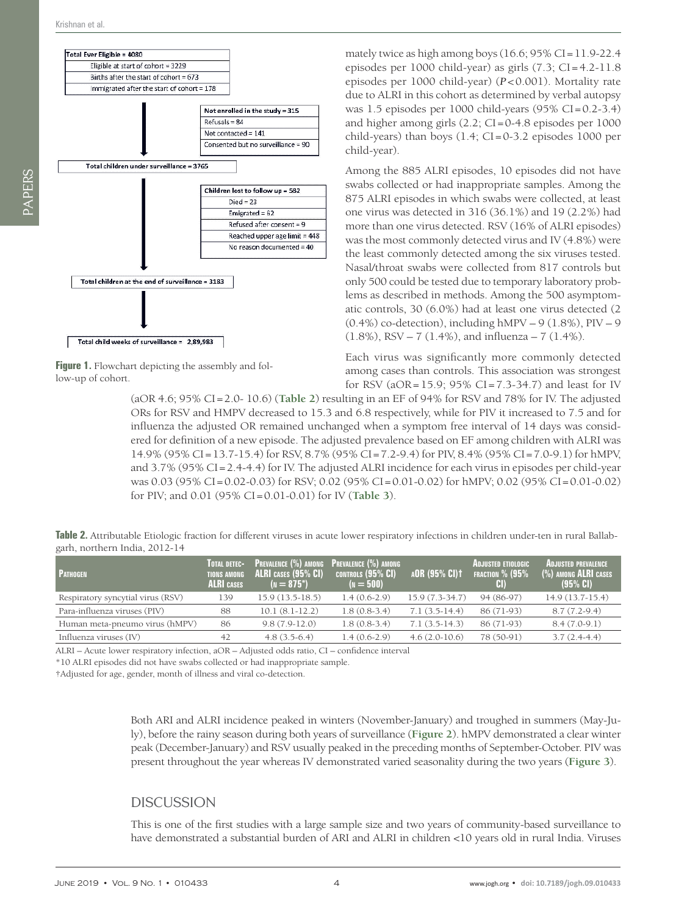

Figure 1. Flowchart depicting the assembly and follow-up of cohort.

mately twice as high among boys  $(16.6; 95\% \text{ CI} = 11.9 - 22.4)$ episodes per  $1000$  child-year) as girls  $(7.3;$  CI=4.2-11.8 episodes per 1000 child-year) (*P* < 0.001). Mortality rate due to ALRI in this cohort as determined by verbal autopsy was 1.5 episodes per 1000 child-years (95% CI = 0.2-3.4) and higher among girls (2.2; CI = 0-4.8 episodes per 1000 child-years) than boys  $(1.4; CI = 0.3.2$  episodes 1000 per child-year).

Among the 885 ALRI episodes, 10 episodes did not have swabs collected or had inappropriate samples. Among the 875 ALRI episodes in which swabs were collected, at least one virus was detected in 316 (36.1%) and 19 (2.2%) had more than one virus detected. RSV (16% of ALRI episodes) was the most commonly detected virus and IV (4.8%) were the least commonly detected among the six viruses tested. Nasal/throat swabs were collected from 817 controls but only 500 could be tested due to temporary laboratory problems as described in methods. Among the 500 asymptomatic controls, 30 (6.0%) had at least one virus detected (2  $(0.4\%)$  co-detection), including hMPV – 9  $(1.8\%)$ , PIV – 9  $(1.8\%)$ , RSV – 7  $(1.4\%)$ , and influenza – 7  $(1.4\%)$ .

Each virus was significantly more commonly detected among cases than controls. This association was strongest for RSV ( $aOR = 15.9$ ;  $95\% CI = 7.3-34.7$ ) and least for IV

(aOR 4.6; 95% CI = 2.0- 10.6) (**Table 2**) resulting in an EF of 94% for RSV and 78% for IV. The adjusted ORs for RSV and HMPV decreased to 15.3 and 6.8 respectively, while for PIV it increased to 7.5 and for influenza the adjusted OR remained unchanged when a symptom free interval of 14 days was considered for definition of a new episode. The adjusted prevalence based on EF among children with ALRI was 14.9% (95% CI = 13.7-15.4) for RSV, 8.7% (95% CI = 7.2-9.4) for PIV, 8.4% (95% CI = 7.0-9.1) for hMPV, and 3.7% (95% CI = 2.4-4.4) for IV. The adjusted ALRI incidence for each virus in episodes per child-year was 0.03 (95% CI = 0.02-0.03) for RSV; 0.02 (95% CI = 0.01-0.02) for hMPV; 0.02 (95% CI = 0.01-0.02) for PIV; and 0.01 (95% CI = 0.01-0.01) for IV (**Table 3**).

**Table 2.** Attributable Etiologic fraction for different viruses in acute lower respiratory infections in children under-ten in rural Ballabgarh, northern India, 2012-14

| <b>PATHOGEN</b>                   | <b>TOTAL DETEC-</b><br><b>TIONS AMONG</b><br><b>ALRI</b> CASES | ALRI CASES (95% CI)<br>( $N = 875*)$ | <b>PREVALENCE (%) AMONG PREVALENCE (%) AMONG</b><br>$^{\prime}$ controls (95% CI),<br>$(N = 500)$ | <b>AOR (95% CI)t</b> | <b>ADJUSTED ETIOLOGIC</b><br>FRACTION $%$ (95%) | <b>ADJUSTED PREVALENCE</b><br>(%) AMONG ALRI CASES<br>(95% CI) |
|-----------------------------------|----------------------------------------------------------------|--------------------------------------|---------------------------------------------------------------------------------------------------|----------------------|-------------------------------------------------|----------------------------------------------------------------|
| Respiratory syncytial virus (RSV) | 139                                                            | $15.9(13.5-18.5)$                    | $1.4(0.6-2.9)$                                                                                    | $15.9(7.3-34.7)$     | 94 (86-97)                                      | $14.9(13.7-15.4)$                                              |
| Para-influenza viruses (PIV)      | 88                                                             | $10.1(8.1-12.2)$                     | $1.8(0.8-3.4)$                                                                                    | $7.1(3.5-14.4)$      | 86 (71-93)                                      | $8.7(7.2-9.4)$                                                 |
| Human meta-pneumo virus (hMPV)    | 86                                                             | $9.8(7.9-12.0)$                      | $1.8(0.8-3.4)$                                                                                    | $7.1(3.5-14.3)$      | 86 (71-93)                                      | $8.4(7.0-9.1)$                                                 |
| Influenza viruses (IV)            | 42                                                             | $4.8(3.5-6.4)$                       | $1.4(0.6-2.9)$                                                                                    | $4.6(2.0-10.6)$      | 78 (50-91)                                      | $3.7(2.4-4.4)$                                                 |

ALRI – Acute lower respiratory infection, aOR – Adjusted odds ratio, CI – confidence interval

\*10 ALRI episodes did not have swabs collected or had inappropriate sample.

†Adjusted for age, gender, month of illness and viral co-detection.

Both ARI and ALRI incidence peaked in winters (November-January) and troughed in summers (May-July), before the rainy season during both years of surveillance (**Figure 2**). hMPV demonstrated a clear winter peak (December-January) and RSV usually peaked in the preceding months of September-October. PIV was present throughout the year whereas IV demonstrated varied seasonality during the two years (**Figure 3**).

# **DISCUSSION**

This is one of the first studies with a large sample size and two years of community-based surveillance to have demonstrated a substantial burden of ARI and ALRI in children <10 years old in rural India. Viruses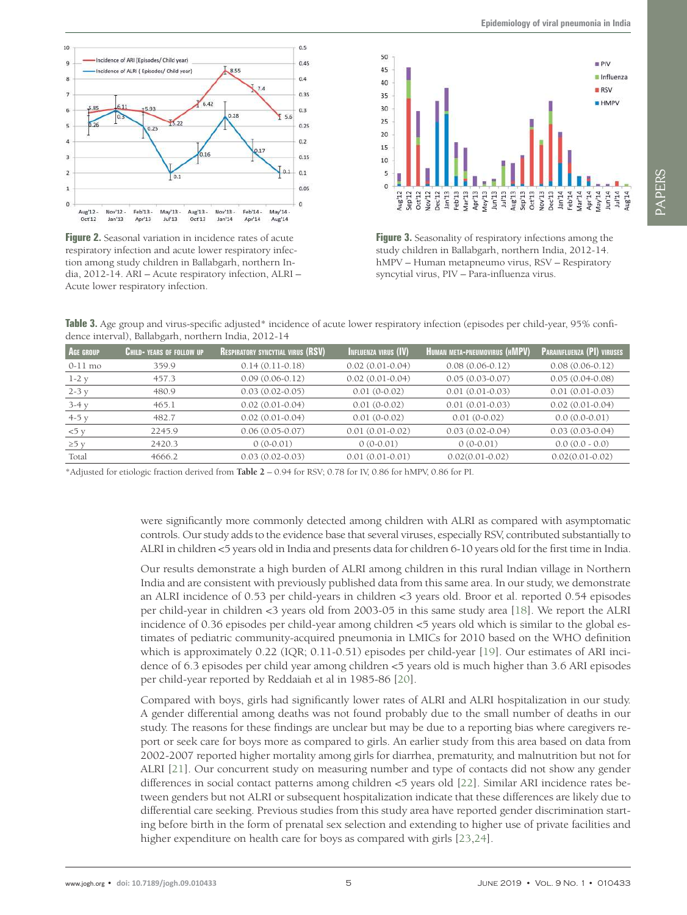

**Figure 2.** Seasonal variation in incidence rates of acute respiratory infection and acute lower respiratory infection among study children in Ballabgarh, northern India, 2012-14. ARI – Acute respiratory infection, ALRI – Acute lower respiratory infection.



**Figure 3.** Seasonality of respiratory infections among the study children in Ballabgarh, northern India, 2012-14. hMPV – Human metapneumo virus, RSV – Respiratory syncytial virus, PIV – Para-influenza virus.

Table 3. Age group and virus-specific adjusted\* incidence of acute lower respiratory infection (episodes per child-year, 95% confidence interval), Ballabgarh, northern India, 2012-14

| <b>AGE GROUP</b> | <b>CHILD- YEARS OF FOLLOW UP</b> | <b>RESPIRATORY SYNCYTIAL VIRUS (RSV)</b> | INFLUENZA VIRUS (IV) | <b>HUMAN META-PNEUMOVIRUS (HMPV)</b> | <b>PARAINFLUENZA (PI) VIRUSES</b> |
|------------------|----------------------------------|------------------------------------------|----------------------|--------------------------------------|-----------------------------------|
| $0-11$ mo        | 359.9                            | $0.14(0.11-0.18)$                        | $0.02(0.01-0.04)$    | $0.08(0.06-0.12)$                    | $0.08(0.06-0.12)$                 |
| $1-2y$           | 457.3                            | $0.09(0.06-0.12)$                        | $0.02(0.01-0.04)$    | $0.05(0.03-0.07)$                    | $0.05(0.04-0.08)$                 |
| $2-3y$           | 480.9                            | $0.03(0.02-0.05)$                        | $0.01(0-0.02)$       | $0.01(0.01-0.03)$                    | $0.01(0.01-0.03)$                 |
| $3-4y$           | 465.1                            | $0.02(0.01-0.04)$                        | $0.01(0-0.02)$       | $0.01(0.01-0.03)$                    | $0.02(0.01-0.04)$                 |
| $4-5y$           | 482.7                            | $0.02(0.01-0.04)$                        | $0.01(0-0.02)$       | $0.01(0-0.02)$                       | $0.0(0.0-0.01)$                   |
| 5 y              | 2245.9                           | $0.06(0.05-0.07)$                        | $0.01(0.01-0.02)$    | $0.03(0.02-0.04)$                    | $0.03(0.03-0.04)$                 |
| $\geq$ 5 y       | 2420.3                           | $0(0-0.01)$                              | $0(0-0.01)$          | $0(0-0.01)$                          | $0.0(0.0 - 0.0)$                  |
| Total            | 4666.2                           | $0.03(0.02-0.03)$                        | $0.01(0.01-0.01)$    | $0.02(0.01-0.02)$                    | $0.02(0.01 - 0.02)$               |

\*Adjusted for etiologic fraction derived from **Table 2** – 0.94 for RSV; 0.78 for IV, 0.86 for hMPV, 0.86 for PI.

were significantly more commonly detected among children with ALRI as compared with asymptomatic controls. Our study adds to the evidence base that several viruses, especially RSV, contributed substantially to ALRI in children <5 years old in India and presents data for children 6-10 years old for the first time in India.

Our results demonstrate a high burden of ALRI among children in this rural Indian village in Northern India and are consistent with previously published data from this same area. In our study, we demonstrate an ALRI incidence of 0.53 per child-years in children <3 years old. Broor et al. reported 0.54 episodes per child-year in children <3 years old from 2003-05 in this same study area [18]. We report the ALRI incidence of 0.36 episodes per child-year among children <5 years old which is similar to the global estimates of pediatric community-acquired pneumonia in LMICs for 2010 based on the WHO definition which is approximately 0.22 (IQR; 0.11-0.51) episodes per child-year [19]. Our estimates of ARI incidence of 6.3 episodes per child year among children <5 years old is much higher than 3.6 ARI episodes per child-year reported by Reddaiah et al in 1985-86 [20].

Compared with boys, girls had significantly lower rates of ALRI and ALRI hospitalization in our study. A gender differential among deaths was not found probably due to the small number of deaths in our study. The reasons for these findings are unclear but may be due to a reporting bias where caregivers report or seek care for boys more as compared to girls. An earlier study from this area based on data from 2002-2007 reported higher mortality among girls for diarrhea, prematurity, and malnutrition but not for ALRI [21]. Our concurrent study on measuring number and type of contacts did not show any gender differences in social contact patterns among children <5 years old [22]. Similar ARI incidence rates between genders but not ALRI or subsequent hospitalization indicate that these differences are likely due to differential care seeking. Previous studies from this study area have reported gender discrimination starting before birth in the form of prenatal sex selection and extending to higher use of private facilities and higher expenditure on health care for boys as compared with girls [23,24].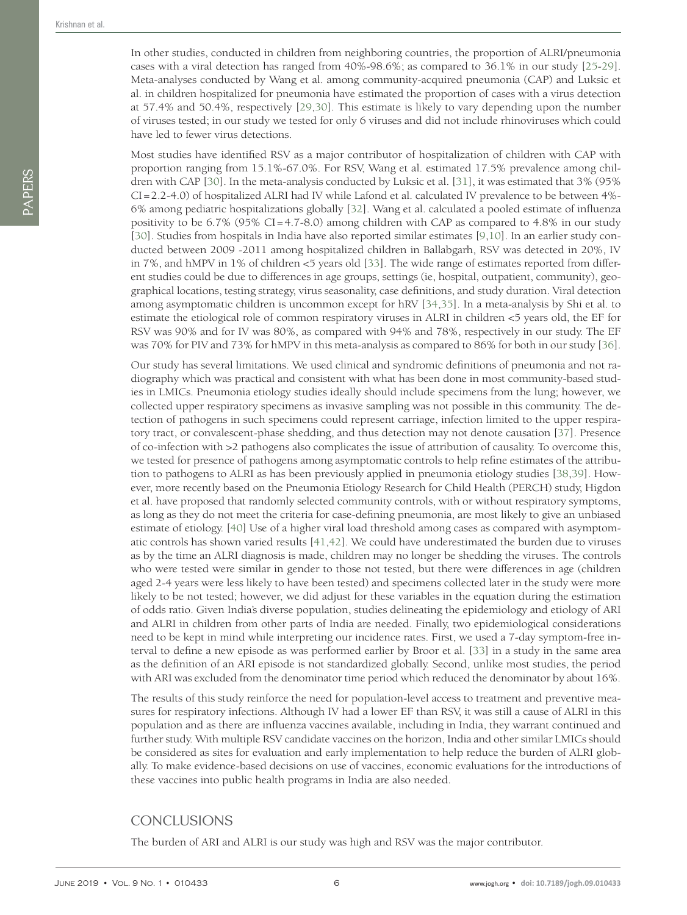**PAPFRS** PAPERS In other studies, conducted in children from neighboring countries, the proportion of ALRI/pneumonia cases with a viral detection has ranged from 40%-98.6%; as compared to 36.1% in our study [25-29]. Meta-analyses conducted by Wang et al. among community-acquired pneumonia (CAP) and Luksic et al. in children hospitalized for pneumonia have estimated the proportion of cases with a virus detection at 57.4% and 50.4%, respectively [29,30]. This estimate is likely to vary depending upon the number of viruses tested; in our study we tested for only 6 viruses and did not include rhinoviruses which could have led to fewer virus detections.

Most studies have identified RSV as a major contributor of hospitalization of children with CAP with proportion ranging from 15.1%-67.0%. For RSV, Wang et al. estimated 17.5% prevalence among children with CAP [30]. In the meta-analysis conducted by Luksic et al. [31], it was estimated that 3% (95%  $CI = 2.2-4.0$ ) of hospitalized ALRI had IV while Lafond et al. calculated IV prevalence to be between  $4\%$ -6% among pediatric hospitalizations globally [32]. Wang et al. calculated a pooled estimate of influenza positivity to be  $6.7\%$  (95% CI=4.7-8.0) among children with CAP as compared to 4.8% in our study [30]. Studies from hospitals in India have also reported similar estimates [9,10]. In an earlier study conducted between 2009 -2011 among hospitalized children in Ballabgarh, RSV was detected in 20%, IV in 7%, and hMPV in 1% of children <5 years old [33]. The wide range of estimates reported from different studies could be due to differences in age groups, settings (ie, hospital, outpatient, community), geographical locations, testing strategy, virus seasonality, case definitions, and study duration. Viral detection among asymptomatic children is uncommon except for hRV [34,35]. In a meta-analysis by Shi et al. to estimate the etiological role of common respiratory viruses in ALRI in children <5 years old, the EF for RSV was 90% and for IV was 80%, as compared with 94% and 78%, respectively in our study. The EF was 70% for PIV and 73% for hMPV in this meta-analysis as compared to 86% for both in our study [36].

Our study has several limitations. We used clinical and syndromic definitions of pneumonia and not radiography which was practical and consistent with what has been done in most community-based studies in LMICs. Pneumonia etiology studies ideally should include specimens from the lung; however, we collected upper respiratory specimens as invasive sampling was not possible in this community. The detection of pathogens in such specimens could represent carriage, infection limited to the upper respiratory tract, or convalescent-phase shedding, and thus detection may not denote causation [37]. Presence of co-infection with >2 pathogens also complicates the issue of attribution of causality. To overcome this, we tested for presence of pathogens among asymptomatic controls to help refine estimates of the attribution to pathogens to ALRI as has been previously applied in pneumonia etiology studies [38,39]. However, more recently based on the Pneumonia Etiology Research for Child Health (PERCH) study, Higdon et al. have proposed that randomly selected community controls, with or without respiratory symptoms, as long as they do not meet the criteria for case-defining pneumonia, are most likely to give an unbiased estimate of etiology. [40] Use of a higher viral load threshold among cases as compared with asymptomatic controls has shown varied results [41,42]. We could have underestimated the burden due to viruses as by the time an ALRI diagnosis is made, children may no longer be shedding the viruses. The controls who were tested were similar in gender to those not tested, but there were differences in age (children aged 2-4 years were less likely to have been tested) and specimens collected later in the study were more likely to be not tested; however, we did adjust for these variables in the equation during the estimation of odds ratio. Given India's diverse population, studies delineating the epidemiology and etiology of ARI and ALRI in children from other parts of India are needed. Finally, two epidemiological considerations need to be kept in mind while interpreting our incidence rates. First, we used a 7-day symptom-free interval to define a new episode as was performed earlier by Broor et al. [33] in a study in the same area as the definition of an ARI episode is not standardized globally. Second, unlike most studies, the period with ARI was excluded from the denominator time period which reduced the denominator by about 16%.

The results of this study reinforce the need for population-level access to treatment and preventive measures for respiratory infections. Although IV had a lower EF than RSV, it was still a cause of ALRI in this population and as there are influenza vaccines available, including in India, they warrant continued and further study. With multiple RSV candidate vaccines on the horizon, India and other similar LMICs should be considered as sites for evaluation and early implementation to help reduce the burden of ALRI globally. To make evidence-based decisions on use of vaccines, economic evaluations for the introductions of these vaccines into public health programs in India are also needed.

### **CONCLUSIONS**

The burden of ARI and ALRI is our study was high and RSV was the major contributor.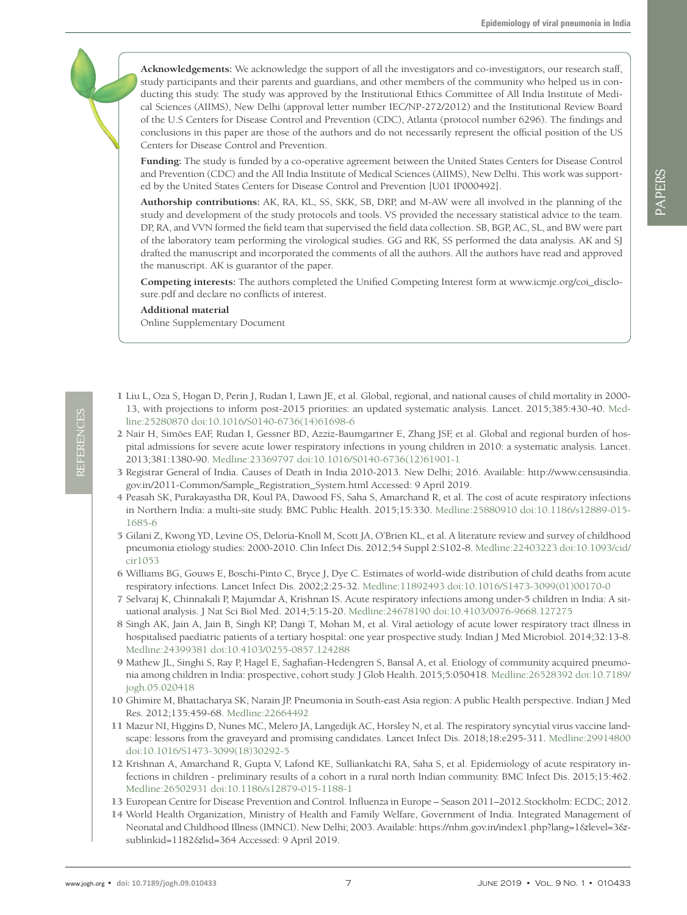**Acknowledgements:** We acknowledge the support of all the investigators and co-investigators, our research staff, study participants and their parents and guardians, and other members of the community who helped us in conducting this study. The study was approved by the Institutional Ethics Committee of All India Institute of Medical Sciences (AIIMS), New Delhi (approval letter number IEC/NP-272/2012) and the Institutional Review Board of the U.S Centers for Disease Control and Prevention (CDC), Atlanta (protocol number 6296). The findings and conclusions in this paper are those of the authors and do not necessarily represent the official position of the US Centers for Disease Control and Prevention.

**Funding:** The study is funded by a co-operative agreement between the United States Centers for Disease Control and Prevention (CDC) and the All India Institute of Medical Sciences (AIIMS), New Delhi. This work was supported by the United States Centers for Disease Control and Prevention [U01 IP000492].

**Authorship contributions:** AK, RA, KL, SS, SKK, SB, DRP, and M-AW were all involved in the planning of the study and development of the study protocols and tools. VS provided the necessary statistical advice to the team. DP, RA, and VVN formed the field team that supervised the field data collection. SB, BGP, AC, SL, and BW were part of the laboratory team performing the virological studies. GG and RK, SS performed the data analysis. AK and SJ drafted the manuscript and incorporated the comments of all the authors. All the authors have read and approved the manuscript. AK is guarantor of the paper.

**Competing interests:** The authors completed the Unified Competing Interest form at www.icmje.org/coi\_disclosure.pdf and declare no conflicts of interest.

#### **Additional material**

Online Supplementary Document

- 1 Liu L, Oza S, Hogan D, Perin J, Rudan I, Lawn JE, et al. Global, regional, and national causes of child mortality in 2000- 13, with projections to inform post-2015 priorities: an updated systematic analysis. Lancet. 2015;385:430-40. Medline:25280870 doi:10.1016/S0140-6736(14)61698-6
- 2 Nair H, Simões EAF, Rudan I, Gessner BD, Azziz-Baumgartner E, Zhang JSF, et al. Global and regional burden of hospital admissions for severe acute lower respiratory infections in young children in 2010: a systematic analysis. Lancet. 2013;381:1380-90. Medline:23369797 doi:10.1016/S0140-6736(12)61901-1
- 3 Registrar General of India. Causes of Death in India 2010-2013. New Delhi; 2016. Available: http://www.censusindia. gov.in/2011-Common/Sample\_Registration\_System.html Accessed: 9 April 2019.
- 4 Peasah SK, Purakayastha DR, Koul PA, Dawood FS, Saha S, Amarchand R, et al. The cost of acute respiratory infections in Northern India: a multi-site study. BMC Public Health. 2015;15:330. Medline:25880910 doi:10.1186/s12889-015- 1685-6
- 5 Gilani Z, Kwong YD, Levine OS, Deloria-Knoll M, Scott JA, O'Brien KL, et al. A literature review and survey of childhood pneumonia etiology studies: 2000-2010. Clin Infect Dis. 2012;54 Suppl 2:S102-8. Medline:22403223 doi:10.1093/cid/ cir1053
- 6 Williams BG, Gouws E, Boschi-Pinto C, Bryce J, Dye C. Estimates of world-wide distribution of child deaths from acute respiratory infections. Lancet Infect Dis. 2002;2:25-32. Medline:11892493 doi:10.1016/S1473-3099(01)00170-0
- 7 Selvaraj K, Chinnakali P, Majumdar A, Krishnan IS. Acute respiratory infections among under-5 children in India: A situational analysis. J Nat Sci Biol Med. 2014;5:15-20. Medline:24678190 doi:10.4103/0976-9668.127275
- 8 Singh AK, Jain A, Jain B, Singh KP, Dangi T, Mohan M, et al. Viral aetiology of acute lower respiratory tract illness in hospitalised paediatric patients of a tertiary hospital: one year prospective study. Indian J Med Microbiol. 2014;32:13-8. Medline:24399381 doi:10.4103/0255-0857.124288
- 9 Mathew JL, Singhi S, Ray P, Hagel E, Saghafian-Hedengren S, Bansal A, et al. Etiology of community acquired pneumonia among children in India: prospective, cohort study. J Glob Health. 2015;5:050418. Medline:26528392 doi:10.7189/ jogh.05.020418 sublinkit projections to monumic post-2012 produces and the classed and similar and and similar and and similar and and similar propagations for severe accete lower respiratory respiratory apple and and similar accuss of D
	- 10 Ghimire M, Bhattacharya SK, Narain JP. Pneumonia in South-east Asia region: A public Health perspective. Indian J Med Res. 2012;135:459-68. Medline:22664492
	- 11 Mazur NI, Higgins D, Nunes MC, Melero JA, Langedijk AC, Horsley N, et al. The respiratory syncytial virus vaccine landscape: lessons from the graveyard and promising candidates. Lancet Infect Dis. 2018;18:e295-311. Medline:29914800 doi:10.1016/S1473-3099(18)30292-5
	- 12 Krishnan A, Amarchand R, Gupta V, Lafond KE, Sulliankatchi RA, Saha S, et al. Epidemiology of acute respiratory infections in children - preliminary results of a cohort in a rural north Indian community. BMC Infect Dis. 2015;15:462. Medline:26502931 doi:10.1186/s12879-015-1188-1
	- 13 European Centre for Disease Prevention and Control. Influenza in Europe Season 2011–2012.Stockholm: ECDC; 2012.
	- 14 World Health Organization, Ministry of Health and Family Welfare, Government of India. Integrated Management of Neonatal and Childhood Illness (IMNCI). New Delhi; 2003. Available: https://nhm.gov.in/index1.php?lang=1&level=3&-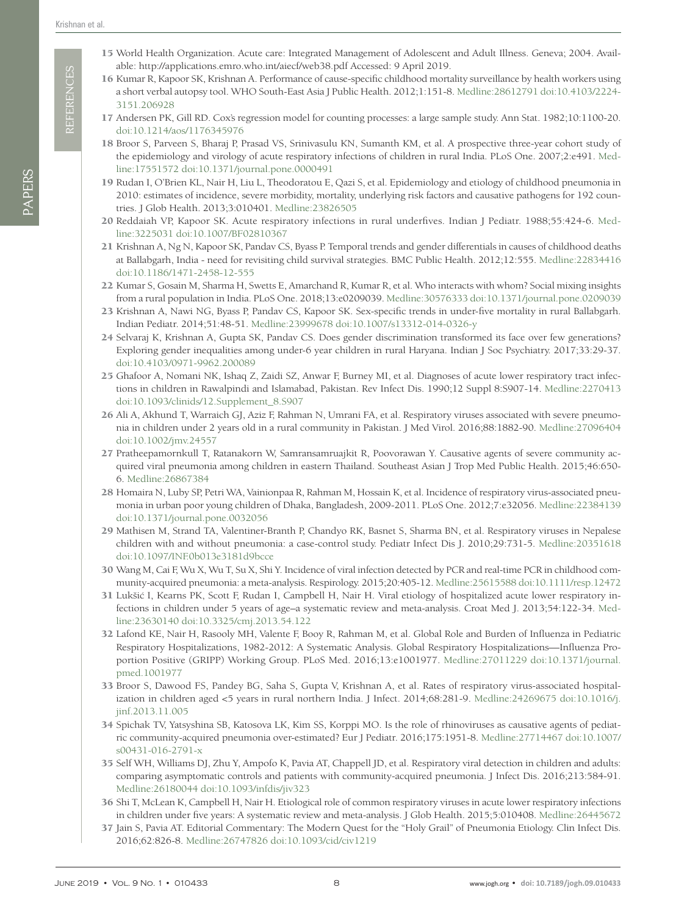**REFERENCES** REFERENCES

- 15 World Health Organization. Acute care: Integrated Management of Adolescent and Adult Illness. Geneva; 2004. Available: http://applications.emro.who.int/aiecf/web38.pdf Accessed: 9 April 2019.
- 16 Kumar R, Kapoor SK, Krishnan A. Performance of cause-specific childhood mortality surveillance by health workers using a short verbal autopsy tool. WHO South-East Asia J Public Health. 2012;1:151-8. Medline:28612791 doi:10.4103/2224- 3151.206928
- 17 Andersen PK, Gill RD. Cox's regression model for counting processes: a large sample study. Ann Stat. 1982;10:1100-20. doi:10.1214/aos/1176345976
- 18 Broor S, Parveen S, Bharaj P, Prasad VS, Srinivasulu KN, Sumanth KM, et al. A prospective three-year cohort study of the epidemiology and virology of acute respiratory infections of children in rural India. PLoS One. 2007;2:e491. Medline:17551572 doi:10.1371/journal.pone.0000491
- 19 Rudan I, O'Brien KL, Nair H, Liu L, Theodoratou E, Qazi S, et al. Epidemiology and etiology of childhood pneumonia in 2010: estimates of incidence, severe morbidity, mortality, underlying risk factors and causative pathogens for 192 countries. J Glob Health. 2013;3:010401. Medline:23826505
- 20 Reddaiah VP, Kapoor SK. Acute respiratory infections in rural underfives. Indian J Pediatr. 1988;55:424-6. Medline:3225031 doi:10.1007/BF02810367
- 21 Krishnan A, Ng N, Kapoor SK, Pandav CS, Byass P. Temporal trends and gender differentials in causes of childhood deaths at Ballabgarh, India - need for revisiting child survival strategies. BMC Public Health. 2012;12:555. Medline:22834416 doi:10.1186/1471-2458-12-555
- 22 Kumar S, Gosain M, Sharma H, Swetts E, Amarchand R, Kumar R, et al. Who interacts with whom? Social mixing insights from a rural population in India. PLoS One. 2018;13:e0209039. Medline:30576333 doi:10.1371/journal.pone.0209039
- 23 Krishnan A, Nawi NG, Byass P, Pandav CS, Kapoor SK. Sex-specific trends in under-five mortality in rural Ballabgarh. Indian Pediatr. 2014;51:48-51. Medline:23999678 doi:10.1007/s13312-014-0326-y
- 24 Selvaraj K, Krishnan A, Gupta SK, Pandav CS. Does gender discrimination transformed its face over few generations? Exploring gender inequalities among under-6 year children in rural Haryana. Indian J Soc Psychiatry. 2017;33:29-37. doi:10.4103/0971-9962.200089
- 25 Ghafoor A, Nomani NK, Ishaq Z, Zaidi SZ, Anwar F, Burney MI, et al. Diagnoses of acute lower respiratory tract infections in children in Rawalpindi and Islamabad, Pakistan. Rev Infect Dis. 1990;12 Suppl 8:S907-14. Medline:2270413 doi:10.1093/clinids/12.Supplement\_8.S907
- 26 Ali A, Akhund T, Warraich GJ, Aziz F, Rahman N, Umrani FA, et al. Respiratory viruses associated with severe pneumonia in children under 2 years old in a rural community in Pakistan. J Med Virol. 2016;88:1882-90. Medline:27096404 doi:10.1002/jmv.24557
- 27 Pratheepamornkull T, Ratanakorn W, Samransamruajkit R, Poovorawan Y. Causative agents of severe community acquired viral pneumonia among children in eastern Thailand. Southeast Asian J Trop Med Public Health. 2015;46:650- 6. Medline:26867384
- 28 Homaira N, Luby SP, Petri WA, Vainionpaa R, Rahman M, Hossain K, et al. Incidence of respiratory virus-associated pneumonia in urban poor young children of Dhaka, Bangladesh, 2009-2011. PLoS One. 2012;7:e32056. Medline:22384139 doi:10.1371/journal.pone.0032056
- 29 Mathisen M, Strand TA, Valentiner-Branth P, Chandyo RK, Basnet S, Sharma BN, et al. Respiratory viruses in Nepalese children with and without pneumonia: a case-control study. Pediatr Infect Dis J. 2010;29:731-5. Medline:20351618 doi:10.1097/INF.0b013e3181d9bcce
- 30 Wang M, Cai F, Wu X, Wu T, Su X, Shi Y. Incidence of viral infection detected by PCR and real-time PCR in childhood community-acquired pneumonia: a meta-analysis. Respirology. 2015;20:405-12. Medline:25615588 doi:10.1111/resp.12472
- 31 Lukšic´ I, Kearns PK, Scott F, Rudan I, Campbell H, Nair H. Viral etiology of hospitalized acute lower respiratory infections in children under 5 years of age–a systematic review and meta-analysis. Croat Med J. 2013;54:122-34. Medline:23630140 doi:10.3325/cmj.2013.54.122
- 32 Lafond KE, Nair H, Rasooly MH, Valente F, Booy R, Rahman M, et al. Global Role and Burden of Influenza in Pediatric Respiratory Hospitalizations, 1982-2012: A Systematic Analysis. Global Respiratory Hospitalizations—Influenza Proportion Positive (GRIPP) Working Group. PLoS Med. 2016;13:e1001977. Medline:27011229 doi:10.1371/journal. pmed.1001977
- 33 Broor S, Dawood FS, Pandey BG, Saha S, Gupta V, Krishnan A, et al. Rates of respiratory virus-associated hospitalization in children aged <5 years in rural northern India. J Infect. 2014;68:281-9. Medline:24269675 doi:10.1016/j. jinf.2013.11.005
- 34 Spichak TV, Yatsyshina SB, Katosova LK, Kim SS, Korppi MO. Is the role of rhinoviruses as causative agents of pediatric community-acquired pneumonia over-estimated? Eur J Pediatr. 2016;175:1951-8. Medline:27714467 doi:10.1007/ s00431-016-2791-x
- 35 Self WH, Williams DJ, Zhu Y, Ampofo K, Pavia AT, Chappell JD, et al. Respiratory viral detection in children and adults: comparing asymptomatic controls and patients with community-acquired pneumonia. J Infect Dis. 2016;213:584-91. Medline:26180044 doi:10.1093/infdis/jiv323
- 36 Shi T, McLean K, Campbell H, Nair H. Etiological role of common respiratory viruses in acute lower respiratory infections in children under five years: A systematic review and meta-analysis. J Glob Health. 2015;5:010408. Medline:26445672
- 37 Jain S, Pavia AT. Editorial Commentary: The Modern Quest for the "Holy Grail" of Pneumonia Etiology. Clin Infect Dis. 2016;62:826-8. Medline:26747826 doi:10.1093/cid/civ1219